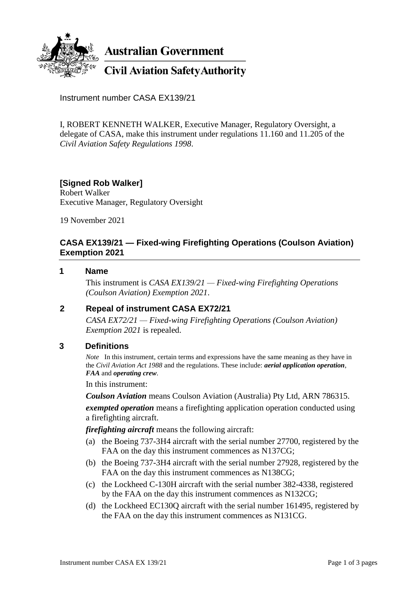

**Australian Government** 

**Civil Aviation Safety Authority** 

Instrument number CASA EX139/21

I, ROBERT KENNETH WALKER, Executive Manager, Regulatory Oversight, a delegate of CASA, make this instrument under regulations 11.160 and 11.205 of the *Civil Aviation Safety Regulations 1998*.

# **[Signed Rob Walker]**

Robert Walker Executive Manager, Regulatory Oversight

19 November 2021

## **CASA EX139/21 — Fixed-wing Firefighting Operations (Coulson Aviation) Exemption 2021**

#### **1 Name**

This instrument is *CASA EX139/21 — Fixed-wing Firefighting Operations (Coulson Aviation) Exemption 2021*.

### **2 Repeal of instrument CASA EX72/21**

*CASA EX72/21 — Fixed-wing Firefighting Operations (Coulson Aviation) Exemption 2021* is repealed.

### **3 Definitions**

*Note* In this instrument, certain terms and expressions have the same meaning as they have in the *Civil Aviation Act 1988* and the regulations. These include: *aerial application operation*, *FAA* and *operating crew*.

In this instrument:

*Coulson Aviation* means Coulson Aviation (Australia) Pty Ltd, ARN 786315.

*exempted operation* means a firefighting application operation conducted using a firefighting aircraft.

*firefighting aircraft* means the following aircraft:

- (a) the Boeing 737-3H4 aircraft with the serial number 27700, registered by the FAA on the day this instrument commences as N137CG;
- (b) the Boeing 737-3H4 aircraft with the serial number 27928, registered by the FAA on the day this instrument commences as N138CG;
- (c) the Lockheed C-130H aircraft with the serial number 382-4338, registered by the FAA on the day this instrument commences as N132CG;
- (d) the Lockheed EC130Q aircraft with the serial number 161495, registered by the FAA on the day this instrument commences as N131CG.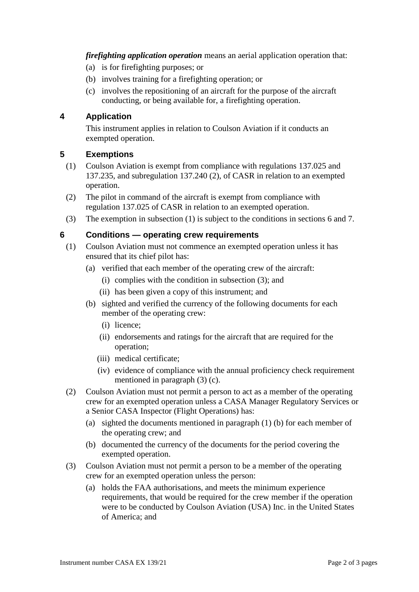*firefighting application operation* means an aerial application operation that:

- (a) is for firefighting purposes; or
- (b) involves training for a firefighting operation; or
- (c) involves the repositioning of an aircraft for the purpose of the aircraft conducting, or being available for, a firefighting operation.

## **4 Application**

This instrument applies in relation to Coulson Aviation if it conducts an exempted operation.

## **5 Exemptions**

- (1) Coulson Aviation is exempt from compliance with regulations 137.025 and 137.235, and subregulation 137.240 (2), of CASR in relation to an exempted operation.
- (2) The pilot in command of the aircraft is exempt from compliance with regulation 137.025 of CASR in relation to an exempted operation.
- (3) The exemption in subsection (1) is subject to the conditions in sections 6 and 7.

### **6 Conditions — operating crew requirements**

- (1) Coulson Aviation must not commence an exempted operation unless it has ensured that its chief pilot has:
	- (a) verified that each member of the operating crew of the aircraft:
		- (i) complies with the condition in subsection (3); and
		- (ii) has been given a copy of this instrument; and
	- (b) sighted and verified the currency of the following documents for each member of the operating crew:
		- (i) licence;
		- (ii) endorsements and ratings for the aircraft that are required for the operation;
		- (iii) medical certificate;
		- (iv) evidence of compliance with the annual proficiency check requirement mentioned in paragraph (3) (c).
- (2) Coulson Aviation must not permit a person to act as a member of the operating crew for an exempted operation unless a CASA Manager Regulatory Services or a Senior CASA Inspector (Flight Operations) has:
	- (a) sighted the documents mentioned in paragraph (1) (b) for each member of the operating crew; and
	- (b) documented the currency of the documents for the period covering the exempted operation.
- (3) Coulson Aviation must not permit a person to be a member of the operating crew for an exempted operation unless the person:
	- (a) holds the FAA authorisations, and meets the minimum experience requirements, that would be required for the crew member if the operation were to be conducted by Coulson Aviation (USA) Inc. in the United States of America; and